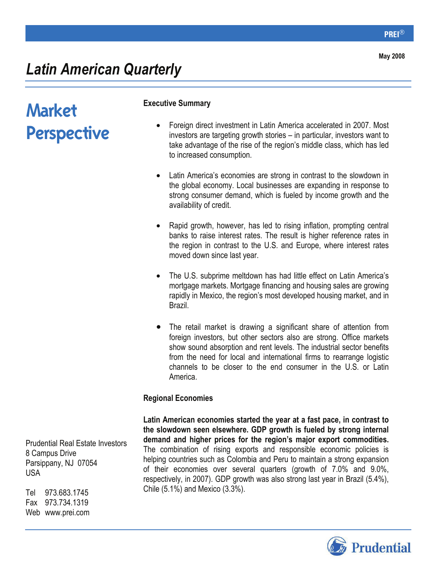## *Latin American Quarterly*

# Market Perspective

#### **Executive Summary**

- Foreign direct investment in Latin America accelerated in 2007. Most investors are targeting growth stories – in particular, investors want to take advantage of the rise of the region's middle class, which has led to increased consumption.
- Latin America's economies are strong in contrast to the slowdown in the global economy. Local businesses are expanding in response to strong consumer demand, which is fueled by income growth and the availability of credit.
- Rapid growth, however, has led to rising inflation, prompting central banks to raise interest rates. The result is higher reference rates in the region in contrast to the U.S. and Europe, where interest rates moved down since last year.
- The U.S. subprime meltdown has had little effect on Latin America's mortgage markets. Mortgage financing and housing sales are growing rapidly in Mexico, the region's most developed housing market, and in Brazil.
- The retail market is drawing a significant share of attention from foreign investors, but other sectors also are strong. Office markets show sound absorption and rent levels. The industrial sector benefits from the need for local and international firms to rearrange logistic channels to be closer to the end consumer in the U.S. or Latin America.

#### **Regional Economies**

**Latin American economies started the year at a fast pace, in contrast to the slowdown seen elsewhere. GDP growth is fueled by strong internal demand and higher prices for the region's major export commodities.** The combination of rising exports and responsible economic policies is helping countries such as Colombia and Peru to maintain a strong expansion of their economies over several quarters (growth of 7.0% and 9.0%, respectively, in 2007). GDP growth was also strong last year in Brazil (5.4%), Chile (5.1%) and Mexico (3.3%).

Prudential Real Estate Investors 8 Campus Drive Parsippany, NJ 07054 USA

Tel 973.683.1745 Fax 973.734.1319 Web www.prei.com

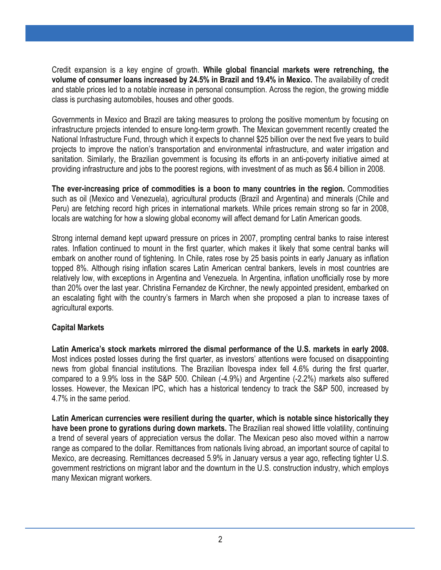Credit expansion is a key engine of growth. **While global financial markets were retrenching, the volume of consumer loans increased by 24.5% in Brazil and 19.4% in Mexico.** The availability of credit and stable prices led to a notable increase in personal consumption. Across the region, the growing middle class is purchasing automobiles, houses and other goods.

Governments in Mexico and Brazil are taking measures to prolong the positive momentum by focusing on infrastructure projects intended to ensure long-term growth. The Mexican government recently created the National Infrastructure Fund, through which it expects to channel \$25 billion over the next five years to build projects to improve the nation's transportation and environmental infrastructure, and water irrigation and sanitation. Similarly, the Brazilian government is focusing its efforts in an anti-poverty initiative aimed at providing infrastructure and jobs to the poorest regions, with investment of as much as \$6.4 billion in 2008.

**The ever-increasing price of commodities is a boon to many countries in the region.** Commodities such as oil (Mexico and Venezuela), agricultural products (Brazil and Argentina) and minerals (Chile and Peru) are fetching record high prices in international markets. While prices remain strong so far in 2008, locals are watching for how a slowing global economy will affect demand for Latin American goods.

Strong internal demand kept upward pressure on prices in 2007, prompting central banks to raise interest rates. Inflation continued to mount in the first quarter, which makes it likely that some central banks will embark on another round of tightening. In Chile, rates rose by 25 basis points in early January as inflation topped 8%. Although rising inflation scares Latin American central bankers, levels in most countries are relatively low, with exceptions in Argentina and Venezuela. In Argentina, inflation unofficially rose by more than 20% over the last year. Christina Fernandez de Kirchner, the newly appointed president, embarked on an escalating fight with the country's farmers in March when she proposed a plan to increase taxes of agricultural exports.

#### **Capital Markets**

**Latin America's stock markets mirrored the dismal performance of the U.S. markets in early 2008.** Most indices posted losses during the first quarter, as investors' attentions were focused on disappointing news from global financial institutions. The Brazilian Ibovespa index fell 4.6% during the first quarter, compared to a 9.9% loss in the S&P 500. Chilean (-4.9%) and Argentine (-2.2%) markets also suffered losses. However, the Mexican IPC, which has a historical tendency to track the S&P 500, increased by 4.7% in the same period.

**Latin American currencies were resilient during the quarter, which is notable since historically they have been prone to gyrations during down markets.** The Brazilian real showed little volatility, continuing a trend of several years of appreciation versus the dollar. The Mexican peso also moved within a narrow range as compared to the dollar. Remittances from nationals living abroad, an important source of capital to Mexico, are decreasing. Remittances decreased 5.9% in January versus a year ago, reflecting tighter U.S. government restrictions on migrant labor and the downturn in the U.S. construction industry, which employs many Mexican migrant workers.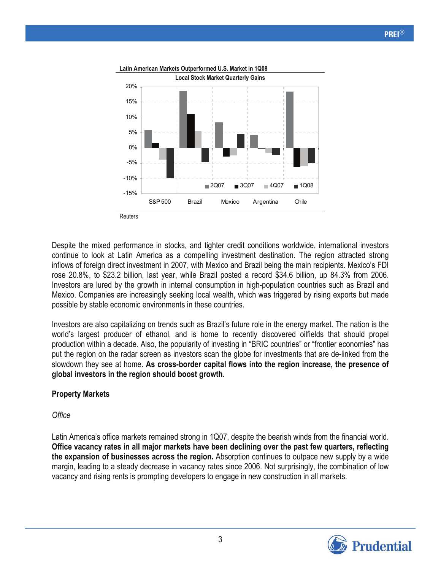

Despite the mixed performance in stocks, and tighter credit conditions worldwide, international investors continue to look at Latin America as a compelling investment destination. The region attracted strong inflows of foreign direct investment in 2007, with Mexico and Brazil being the main recipients. Mexico's FDI rose 20.8%, to \$23.2 billion, last year, while Brazil posted a record \$34.6 billion, up 84.3% from 2006. Investors are lured by the growth in internal consumption in high-population countries such as Brazil and Mexico. Companies are increasingly seeking local wealth, which was triggered by rising exports but made possible by stable economic environments in these countries.

Investors are also capitalizing on trends such as Brazil's future role in the energy market. The nation is the world's largest producer of ethanol, and is home to recently discovered oilfields that should propel production within a decade. Also, the popularity of investing in "BRIC countries" or "frontier economies" has put the region on the radar screen as investors scan the globe for investments that are de-linked from the slowdown they see at home. **As cross-border capital flows into the region increase, the presence of global investors in the region should boost growth.**

### **Property Markets**

#### *Office*

Latin America's office markets remained strong in 1Q07, despite the bearish winds from the financial world. **Office vacancy rates in all major markets have been declining over the past few quarters, reflecting the expansion of businesses across the region.** Absorption continues to outpace new supply by a wide margin, leading to a steady decrease in vacancy rates since 2006. Not surprisingly, the combination of low vacancy and rising rents is prompting developers to engage in new construction in all markets.

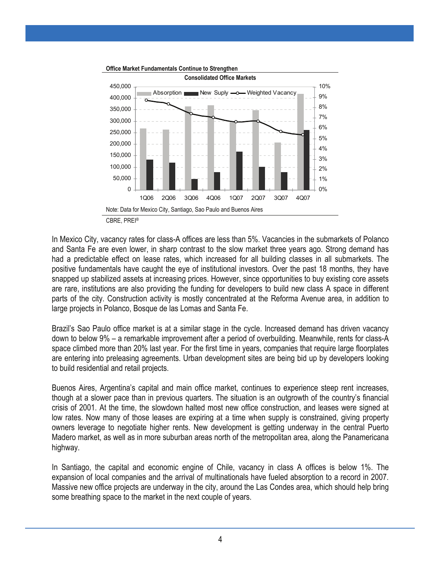

In Mexico City, vacancy rates for class-A offices are less than 5%. Vacancies in the submarkets of Polanco and Santa Fe are even lower, in sharp contrast to the slow market three years ago. Strong demand has had a predictable effect on lease rates, which increased for all building classes in all submarkets. The positive fundamentals have caught the eye of institutional investors. Over the past 18 months, they have snapped up stabilized assets at increasing prices. However, since opportunities to buy existing core assets are rare, institutions are also providing the funding for developers to build new class A space in different parts of the city. Construction activity is mostly concentrated at the Reforma Avenue area, in addition to large projects in Polanco, Bosque de las Lomas and Santa Fe.

Brazil's Sao Paulo office market is at a similar stage in the cycle. Increased demand has driven vacancy down to below 9% – a remarkable improvement after a period of overbuilding. Meanwhile, rents for class-A space climbed more than 20% last year. For the first time in years, companies that require large floorplates are entering into preleasing agreements. Urban development sites are being bid up by developers looking to build residential and retail projects.

Buenos Aires, Argentina's capital and main office market, continues to experience steep rent increases, though at a slower pace than in previous quarters. The situation is an outgrowth of the country's financial crisis of 2001. At the time, the slowdown halted most new office construction, and leases were signed at low rates. Now many of those leases are expiring at a time when supply is constrained, giving property owners leverage to negotiate higher rents. New development is getting underway in the central Puerto Madero market, as well as in more suburban areas north of the metropolitan area, along the Panamericana highway.

In Santiago, the capital and economic engine of Chile, vacancy in class A offices is below 1%. The expansion of local companies and the arrival of multinationals have fueled absorption to a record in 2007. Massive new office projects are underway in the city, around the Las Condes area, which should help bring some breathing space to the market in the next couple of years.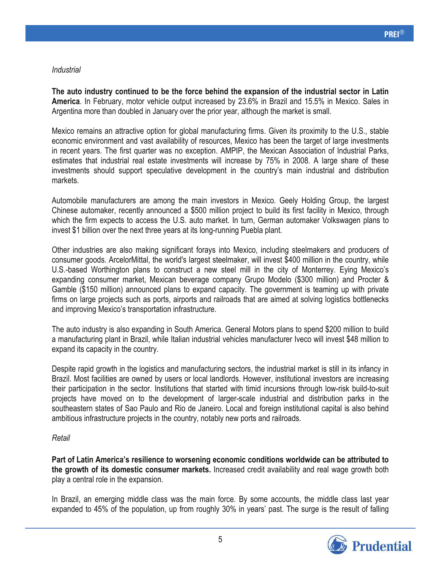#### *Industrial*

**The auto industry continued to be the force behind the expansion of the industrial sector in Latin America**. In February, motor vehicle output increased by 23.6% in Brazil and 15.5% in Mexico. Sales in Argentina more than doubled in January over the prior year, although the market is small.

Mexico remains an attractive option for global manufacturing firms. Given its proximity to the U.S., stable economic environment and vast availability of resources, Mexico has been the target of large investments in recent years. The first quarter was no exception. AMPIP, the Mexican Association of Industrial Parks, estimates that industrial real estate investments will increase by 75% in 2008. A large share of these investments should support speculative development in the country's main industrial and distribution markets.

Automobile manufacturers are among the main investors in Mexico. Geely Holding Group, the largest Chinese automaker, recently announced a \$500 million project to build its first facility in Mexico, through which the firm expects to access the U.S. auto market. In turn, German automaker Volkswagen plans to invest \$1 billion over the next three years at its long-running Puebla plant.

Other industries are also making significant forays into Mexico, including steelmakers and producers of consumer goods. ArcelorMittal, the world's largest steelmaker, will invest \$400 million in the country, while U.S.-based Worthington plans to construct a new steel mill in the city of Monterrey. Eying Mexico's expanding consumer market, Mexican beverage company Grupo Modelo (\$300 million) and Procter & Gamble (\$150 million) announced plans to expand capacity. The government is teaming up with private firms on large projects such as ports, airports and railroads that are aimed at solving logistics bottlenecks and improving Mexico's transportation infrastructure.

The auto industry is also expanding in South America. General Motors plans to spend \$200 million to build a manufacturing plant in Brazil, while Italian industrial vehicles manufacturer Iveco will invest \$48 million to expand its capacity in the country.

Despite rapid growth in the logistics and manufacturing sectors, the industrial market is still in its infancy in Brazil. Most facilities are owned by users or local landlords. However, institutional investors are increasing their participation in the sector. Institutions that started with timid incursions through low-risk build-to-suit projects have moved on to the development of larger-scale industrial and distribution parks in the southeastern states of Sao Paulo and Rio de Janeiro. Local and foreign institutional capital is also behind ambitious infrastructure projects in the country, notably new ports and railroads.

#### *Retail*

**Part of Latin America's resilience to worsening economic conditions worldwide can be attributed to the growth of its domestic consumer markets.** Increased credit availability and real wage growth both play a central role in the expansion.

In Brazil, an emerging middle class was the main force. By some accounts, the middle class last year expanded to 45% of the population, up from roughly 30% in years' past. The surge is the result of falling

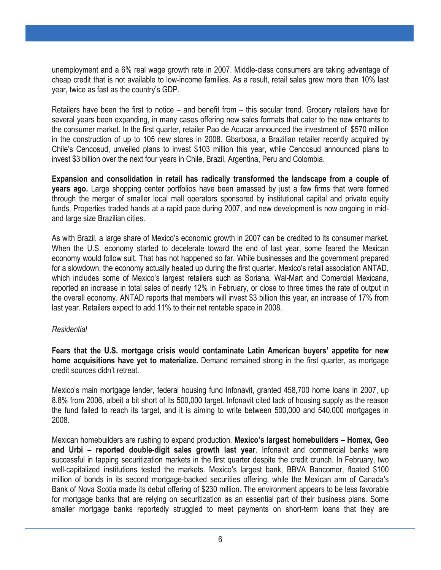unemployment and a 6% real wage growth rate in 2007. Middle-class consumers are taking advantage of cheap credit that is not available to low-income families. As a result, retail sales grew more than 10% last year, twice as fast as the country's GDP.

Retailers have been the first to notice – and benefit from – this secular trend. Grocery retailers have for several years been expanding, in many cases offering new sales formats that cater to the new entrants to the consumer market. In the first quarter, retailer Pao de Acucar announced the investment of \$570 million in the construction of up to 105 new stores in 2008. Gbarbosa, a Brazilian retailer recently acquired by Chile's Cencosud, unveiled plans to invest \$103 million this year, while Cencosud announced plans to invest \$3 billion over the next four years in Chile, Brazil, Argentina, Peru and Colombia.

**Expansion and consolidation in retail has radically transformed the landscape from a couple of years ago.** Large shopping center portfolios have been amassed by just a few firms that were formed through the merger of smaller local mall operators sponsored by institutional capital and private equity funds. Properties traded hands at a rapid pace during 2007, and new development is now ongoing in midand large size Brazilian cities.

As with Brazil, a large share of Mexico's economic growth in 2007 can be credited to its consumer market. When the U.S. economy started to decelerate toward the end of last year, some feared the Mexican economy would follow suit. That has not happened so far. While businesses and the government prepared for a slowdown, the economy actually heated up during the first quarter. Mexico's retail association ANTAD, which includes some of Mexico's largest retailers such as Soriana, Wal-Mart and Comercial Mexicana, reported an increase in total sales of nearly 12% in February, or close to three times the rate of output in the overall economy. ANTAD reports that members will invest \$3 billion this year, an increase of 17% from last year. Retailers expect to add 11% to their net rentable space in 2008.

#### *Residential*

**Fears that the U.S. mortgage crisis would contaminate Latin American buyers' appetite for new home acquisitions have yet to materialize.** Demand remained strong in the first quarter, as mortgage credit sources didn't retreat.

Mexico's main mortgage lender, federal housing fund Infonavit, granted 458,700 home loans in 2007, up 8.8% from 2006, albeit a bit short of its 500,000 target. Infonavit cited lack of housing supply as the reason the fund failed to reach its target, and it is aiming to write between 500,000 and 540,000 mortgages in 2008.

Mexican homebuilders are rushing to expand production. **Mexico's largest homebuilders – Homex, Geo and Urbi – reported double-digit sales growth last year**. Infonavit and commercial banks were successful in tapping securitization markets in the first quarter despite the credit crunch. In February, two well-capitalized institutions tested the markets. Mexico's largest bank, BBVA Bancomer, floated \$100 million of bonds in its second mortgage-backed securities offering, while the Mexican arm of Canada's Bank of Nova Scotia made its debut offering of \$230 million. The environment appears to be less favorable for mortgage banks that are relying on securitization as an essential part of their business plans. Some smaller mortgage banks reportedly struggled to meet payments on short-term loans that they are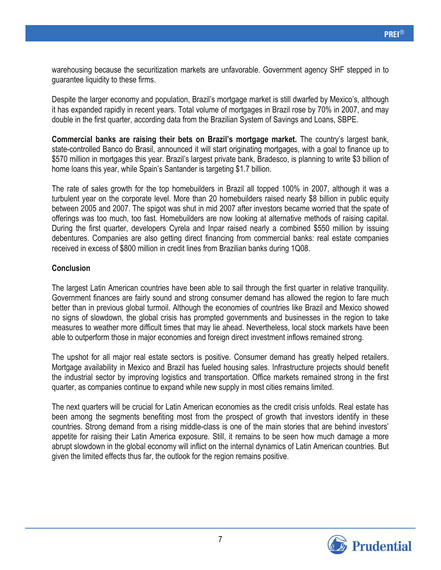warehousing because the securitization markets are unfavorable. Government agency SHF stepped in to guarantee liquidity to these firms.

Despite the larger economy and population, Brazil's mortgage market is still dwarfed by Mexico's, although it has expanded rapidly in recent years. Total volume of mortgages in Brazil rose by 70% in 2007, and may double in the first quarter, according data from the Brazilian System of Savings and Loans, SBPE.

**Commercial banks are raising their bets on Brazil's mortgage market.** The country's largest bank, state-controlled Banco do Brasil, announced it will start originating mortgages, with a goal to finance up to \$570 million in mortgages this year. Brazil's largest private bank, Bradesco, is planning to write \$3 billion of home loans this year, while Spain's Santander is targeting \$1.7 billion.

The rate of sales growth for the top homebuilders in Brazil all topped 100% in 2007, although it was a turbulent year on the corporate level. More than 20 homebuilders raised nearly \$8 billion in public equity between 2005 and 2007. The spigot was shut in mid 2007 after investors became worried that the spate of offerings was too much, too fast. Homebuilders are now looking at alternative methods of raising capital. During the first quarter, developers Cyrela and Inpar raised nearly a combined \$550 million by issuing debentures. Companies are also getting direct financing from commercial banks: real estate companies received in excess of \$800 million in credit lines from Brazilian banks during 1Q08.

#### **Conclusion**

The largest Latin American countries have been able to sail through the first quarter in relative tranquility. Government finances are fairly sound and strong consumer demand has allowed the region to fare much better than in previous global turmoil. Although the economies of countries like Brazil and Mexico showed no signs of slowdown, the global crisis has prompted governments and businesses in the region to take measures to weather more difficult times that may lie ahead. Nevertheless, local stock markets have been able to outperform those in major economies and foreign direct investment inflows remained strong.

The upshot for all major real estate sectors is positive. Consumer demand has greatly helped retailers. Mortgage availability in Mexico and Brazil has fueled housing sales. Infrastructure projects should benefit the industrial sector by improving logistics and transportation. Office markets remained strong in the first quarter, as companies continue to expand while new supply in most cities remains limited.

The next quarters will be crucial for Latin American economies as the credit crisis unfolds. Real estate has been among the segments benefiting most from the prospect of growth that investors identify in these countries. Strong demand from a rising middle-class is one of the main stories that are behind investors' appetite for raising their Latin America exposure. Still, it remains to be seen how much damage a more abrupt slowdown in the global economy will inflict on the internal dynamics of Latin American countries. But given the limited effects thus far, the outlook for the region remains positive.